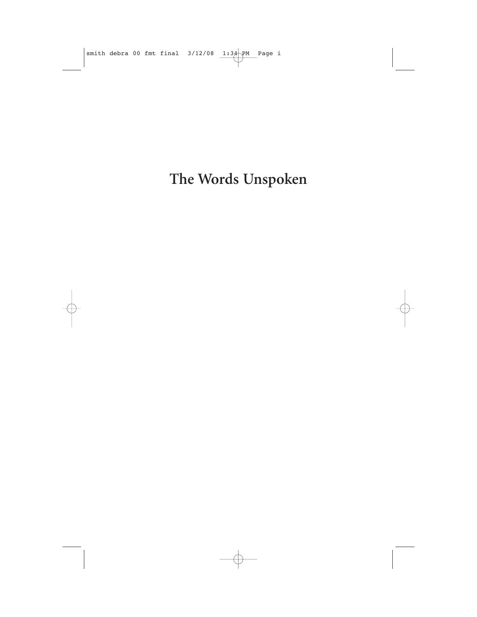The Words Unspoken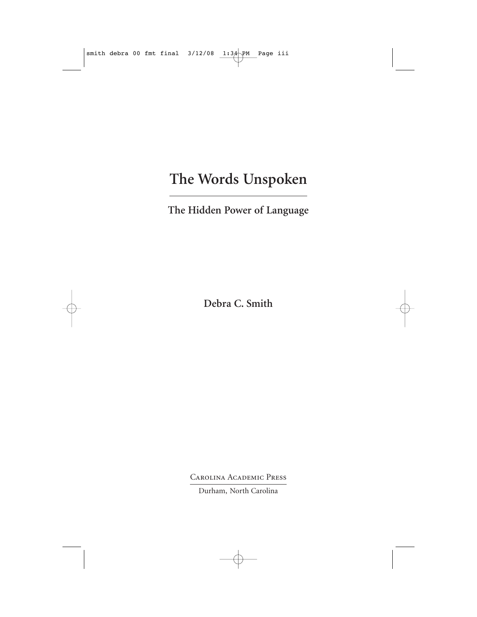## **The Words Unspoken**

**The Hidden Power of Language**

**Debra C. Smith**

Carolina Academic Press

Durham, North Carolina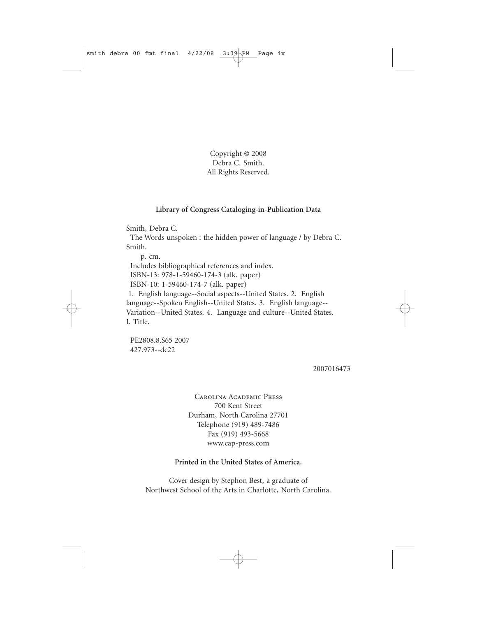Copyright © 2008 Debra C. Smith. All Rights Reserved.

#### **Library of Congress Cataloging-in-Publication Data**

Smith, Debra C.

The Words unspoken : the hidden power of language / by Debra C. Smith.

p. cm. Includes bibliographical references and index. ISBN-13: 978-1-59460-174-3 (alk. paper) ISBN-10: 1-59460-174-7 (alk. paper) 1. English language--Social aspects--United States. 2. English language--Spoken English--United States. 3. English language-- Variation--United States. 4. Language and culture--United States. I. Title.

PE2808.8.S65 2007 427.973--dc22

2007016473

Carolina Academic Press 700 Kent Street Durham, North Carolina 27701 Telephone (919) 489-7486 Fax (919) 493-5668 www.cap-press.com

#### **Printed in the United States of America.**

Cover design by Stephon Best, a graduate of Northwest School of the Arts in Charlotte, North Carolina.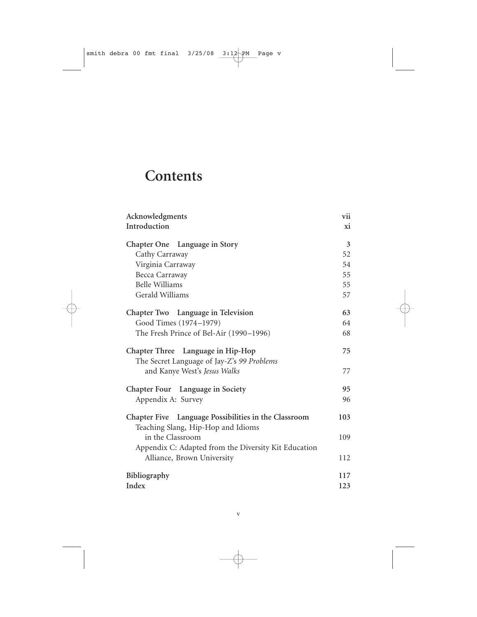# **Contents**

| Acknowledgments                                                                            | vii |
|--------------------------------------------------------------------------------------------|-----|
| Introduction                                                                               | xi  |
| Chapter One Language in Story                                                              | 3   |
| Cathy Carraway                                                                             | 52  |
| Virginia Carraway                                                                          | 54  |
| Becca Carraway                                                                             | 55  |
| <b>Belle Williams</b>                                                                      | 55  |
| Gerald Williams                                                                            | 57  |
| Chapter Two Language in Television                                                         | 63  |
| Good Times (1974-1979)                                                                     | 64  |
| The Fresh Prince of Bel-Air (1990-1996)                                                    | 68  |
| <b>Chapter Three</b><br>Language in Hip-Hop<br>The Secret Language of Jay-Z's 99 Problems  | 75  |
| and Kanye West's Jesus Walks                                                               | 77  |
| Chapter Four Language in Society                                                           | 95  |
| Appendix A: Survey                                                                         | 96  |
| Chapter Five Language Possibilities in the Classroom<br>Teaching Slang, Hip-Hop and Idioms | 103 |
| in the Classroom<br>Appendix C: Adapted from the Diversity Kit Education                   | 109 |
| Alliance, Brown University                                                                 | 112 |
| Bibliography                                                                               | 117 |
| Index                                                                                      | 123 |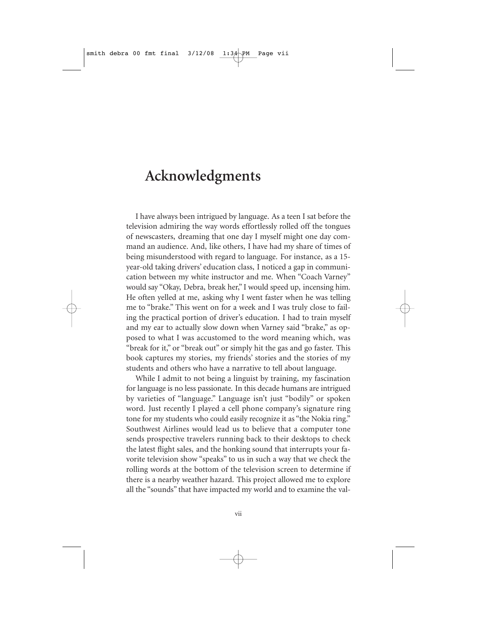### **Acknowledgments**

I have always been intrigued by language. As a teen I sat before the television admiring the way words effortlessly rolled off the tongues of newscasters, dreaming that one day I myself might one day command an audience. And, like others, I have had my share of times of being misunderstood with regard to language. For instance, as a 15 year-old taking drivers' education class, I noticed a gap in communication between my white instructor and me. When "Coach Varney" would say "Okay, Debra, break her," I would speed up, incensing him. He often yelled at me, asking why I went faster when he was telling me to "brake." This went on for a week and I was truly close to failing the practical portion of driver's education. I had to train myself and my ear to actually slow down when Varney said "brake," as opposed to what I was accustomed to the word meaning which, was "break for it," or "break out" or simply hit the gas and go faster. This book captures my stories, my friends' stories and the stories of my students and others who have a narrative to tell about language.

While I admit to not being a linguist by training, my fascination for language is no less passionate. In this decade humans are intrigued by varieties of "language." Language isn't just "bodily" or spoken word. Just recently I played a cell phone company's signature ring tone for my students who could easily recognize it as "the Nokia ring." Southwest Airlines would lead us to believe that a computer tone sends prospective travelers running back to their desktops to check the latest flight sales, and the honking sound that interrupts your favorite television show "speaks" to us in such a way that we check the rolling words at the bottom of the television screen to determine if there is a nearby weather hazard. This project allowed me to explore all the "sounds" that have impacted my world and to examine the val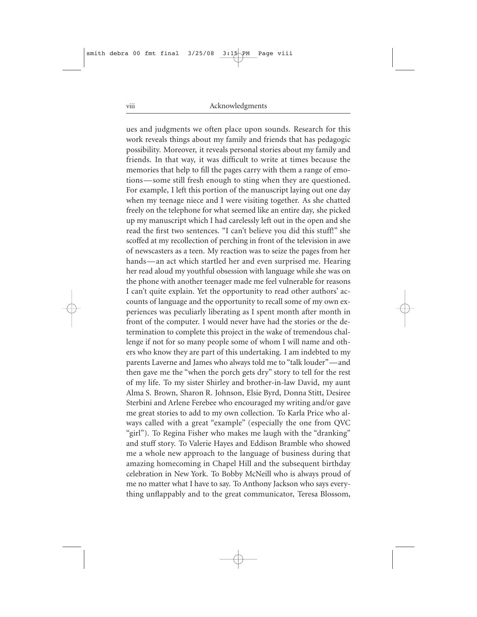ues and judgments we often place upon sounds. Research for this work reveals things about my family and friends that has pedagogic possibility. Moreover, it reveals personal stories about my family and friends. In that way, it was difficult to write at times because the memories that help to fill the pages carry with them a range of emotions — some still fresh enough to sting when they are questioned. For example, I left this portion of the manuscript laying out one day when my teenage niece and I were visiting together. As she chatted freely on the telephone for what seemed like an entire day, she picked up my manuscript which I had carelessly left out in the open and she read the first two sentences. "I can't believe you did this stuff!" she scoffed at my recollection of perching in front of the television in awe of newscasters as a teen. My reaction was to seize the pages from her hands—an act which startled her and even surprised me. Hearing her read aloud my youthful obsession with language while she was on the phone with another teenager made me feel vulnerable for reasons I can't quite explain. Yet the opportunity to read other authors' accounts of language and the opportunity to recall some of my own experiences was peculiarly liberating as I spent month after month in front of the computer. I would never have had the stories or the determination to complete this project in the wake of tremendous challenge if not for so many people some of whom I will name and others who know they are part of this undertaking. I am indebted to my parents Laverne and James who always told me to "talk louder"—and then gave me the "when the porch gets dry" story to tell for the rest of my life. To my sister Shirley and brother-in-law David, my aunt Alma S. Brown, Sharon R. Johnson, Elsie Byrd, Donna Stitt, Desiree Sterbini and Arlene Ferebee who encouraged my writing and/or gave me great stories to add to my own collection. To Karla Price who always called with a great "example" (especially the one from QVC "girl"). To Regina Fisher who makes me laugh with the "dranking" and stuff story. To Valerie Hayes and Eddison Bramble who showed me a whole new approach to the language of business during that amazing homecoming in Chapel Hill and the subsequent birthday celebration in New York. To Bobby McNeill who is always proud of me no matter what I have to say. To Anthony Jackson who says everything unflappably and to the great communicator, Teresa Blossom,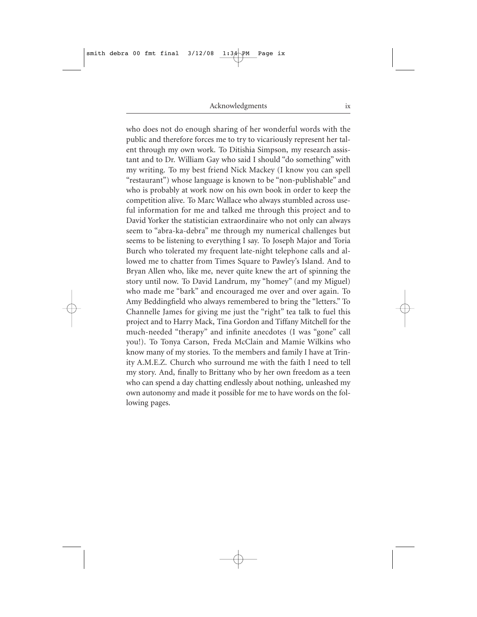who does not do enough sharing of her wonderful words with the public and therefore forces me to try to vicariously represent her talent through my own work. To Ditishia Simpson, my research assistant and to Dr. William Gay who said I should "do something" with my writing. To my best friend Nick Mackey (I know you can spell "restaurant") whose language is known to be "non-publishable" and who is probably at work now on his own book in order to keep the competition alive. To Marc Wallace who always stumbled across useful information for me and talked me through this project and to David Yorker the statistician extraordinaire who not only can always seem to "abra-ka-debra" me through my numerical challenges but seems to be listening to everything I say. To Joseph Major and Toria Burch who tolerated my frequent late-night telephone calls and allowed me to chatter from Times Square to Pawley's Island. And to Bryan Allen who, like me, never quite knew the art of spinning the story until now. To David Landrum, my "homey" (and my Miguel) who made me "bark" and encouraged me over and over again. To Amy Beddingfield who always remembered to bring the "letters." To Channelle James for giving me just the "right" tea talk to fuel this project and to Harry Mack, Tina Gordon and Tiffany Mitchell for the much-needed "therapy" and infinite anecdotes (I was "gone" call you!). To Tonya Carson, Freda McClain and Mamie Wilkins who know many of my stories. To the members and family I have at Trinity A.M.E.Z. Church who surround me with the faith I need to tell my story. And, finally to Brittany who by her own freedom as a teen who can spend a day chatting endlessly about nothing, unleashed my own autonomy and made it possible for me to have words on the following pages.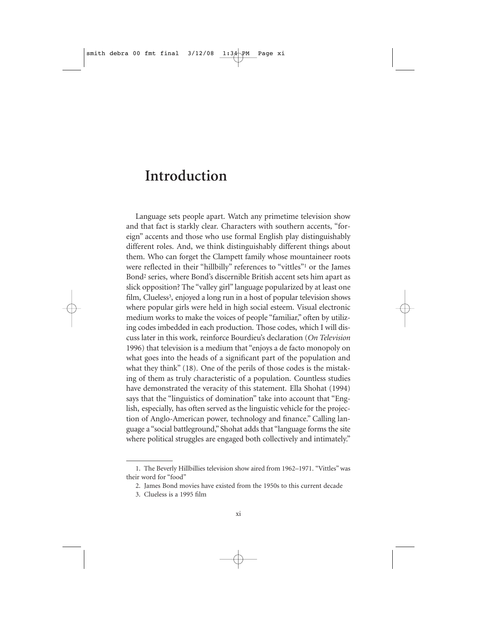### **Introduction**

Language sets people apart. Watch any primetime television show and that fact is starkly clear. Characters with southern accents, "foreign" accents and those who use formal English play distinguishably different roles. And, we think distinguishably different things about them. Who can forget the Clampett family whose mountaineer roots were reflected in their "hillbilly" references to "vittles"1 or the James Bond2 series, where Bond's discernible British accent sets him apart as slick opposition? The "valley girl" language popularized by at least one film, Clueless<sup>3</sup>, enjoyed a long run in a host of popular television shows where popular girls were held in high social esteem. Visual electronic medium works to make the voices of people "familiar," often by utilizing codes imbedded in each production. Those codes, which I will discuss later in this work, reinforce Bourdieu's declaration (*On Television* 1996) that television is a medium that "enjoys a de facto monopoly on what goes into the heads of a significant part of the population and what they think" (18). One of the perils of those codes is the mistaking of them as truly characteristic of a population. Countless studies have demonstrated the veracity of this statement. Ella Shohat (1994) says that the "linguistics of domination" take into account that "English, especially, has often served as the linguistic vehicle for the projection of Anglo-American power, technology and finance." Calling language a "social battleground," Shohat adds that "language forms the site where political struggles are engaged both collectively and intimately."

<sup>1.</sup> The Beverly Hillbillies television show aired from 1962–1971. "Vittles" was their word for "food"

<sup>2.</sup> James Bond movies have existed from the 1950s to this current decade

<sup>3.</sup> Clueless is a 1995 film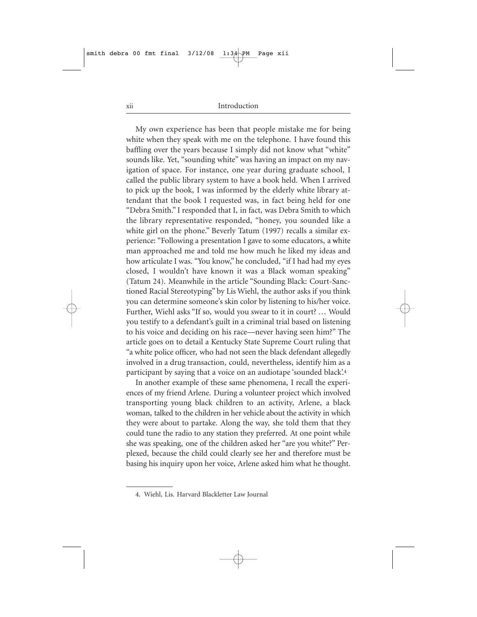My own experience has been that people mistake me for being white when they speak with me on the telephone. I have found this baffling over the years because I simply did not know what "white" sounds like. Yet, "sounding white" was having an impact on my navigation of space. For instance, one year during graduate school, I called the public library system to have a book held. When I arrived to pick up the book, I was informed by the elderly white library attendant that the book I requested was, in fact being held for one "Debra Smith." I responded that I, in fact, was Debra Smith to which the library representative responded, "honey, you sounded like a white girl on the phone." Beverly Tatum (1997) recalls a similar experience: "Following a presentation I gave to some educators, a **w**hite man approached me and told me how much he liked my ideas and how articulate I was. "You know," he concluded, "if I had had my eyes closed, I wouldn't have known it was a Black woman speaking" (Tatum 24). Meanwhile in the article "Sounding Black: Court-Sanctioned Racial Stereotyping" by Lis Wiehl, the author asks if you think you can determine someone's skin color by listening to his/her voice. Further, Wiehl asks "If so, would you swear to it in court? ... Would you testify to a defendant's guilt in a criminal trial based on listening to his voice and deciding on his race—never having seen him?" The article goes on to detail a Kentucky State Supreme Court ruling that "a white police officer, who had not seen the black defendant allegedly involved in a drug transaction, could, nevertheless, identify him as a participant by saying that a voice on an audiotape 'sounded black'.4

In another example of these same phenomena, I recall the experiences of my friend Arlene. During a volunteer project which involved transporting young black children to an activity, Arlene, a black woman, talked to the children in her vehicle about the activity in which they were about to partake. Along the way, she told them that they could tune the radio to any station they preferred. At one point while she was speaking, one of the children asked her "are you white?" Perplexed, because the child could clearly see her and therefore must be basing his inquiry upon her voice, Arlene asked him what he thought.

<sup>4.</sup> Wiehl, Lis. Harvard Blackletter Law Journal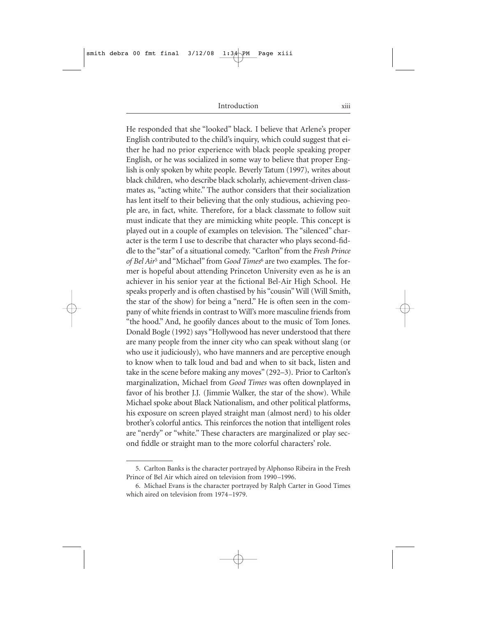He responded that she "looked" black. I believe that Arlene's proper English contributed to the child's inquiry, which could suggest that either he had no prior experience with black people speaking proper English, or he was socialized in some way to believe that proper English is only spoken by white people. Beverly Tatum (1997), writes about black children, who describe black scholarly, achievement-driven classmates as, "acting white." The author considers that their socialization has lent itself to their believing that the only studious, achieving people are, in fact, white. Therefore, for a black classmate to follow suit must indicate that they are mimicking white people. This concept is played out in a couple of examples on television. The "silenced" character is the term I use to describe that character who plays second-fiddle to the "star" of a situational comedy. "Carlton" from the *Fresh Prince of Bel Air*<sup>5</sup> and "Michael" from *Good Times*<sup>6</sup> are two examples. The former is hopeful about attending Princeton University even as he is an achiever in his senior year at the fictional Bel-Air High School. He speaks properly and is often chastised by his "cousin" Will (Will Smith, the star of the show) for being a "nerd." He is often seen in the company of white friends in contrast to Will's more masculine friends from "the hood." And, he goofily dances about to the music of Tom Jones. Donald Bogle (1992) says "Hollywood has never understood that there are many people from the inner city who can speak without slang (or who use it judiciously), who have manners and are perceptive enough to know when to talk loud and bad and when to sit back, listen and take in the scene before making any moves" (292–3). Prior to Carlton's marginalization, Michael from *Good Times* was often downplayed in favor of his brother J.J. (Jimmie Walker, the star of the show). While Michael spoke about Black Nationalism, and other political platforms, his exposure on screen played straight man (almost nerd) to his older brother's colorful antics. This reinforces the notion that intelligent roles are "nerdy" or "white." These characters are marginalized or play second fiddle or straight man to the more colorful characters' role.

<sup>5.</sup> Carlton Banks is the character portrayed by Alphonso Ribeira in the Fresh Prince of Bel Air which aired on television from 1990–1996.

<sup>6.</sup> Michael Evans is the character portrayed by Ralph Carter in Good Times which aired on television from 1974–1979.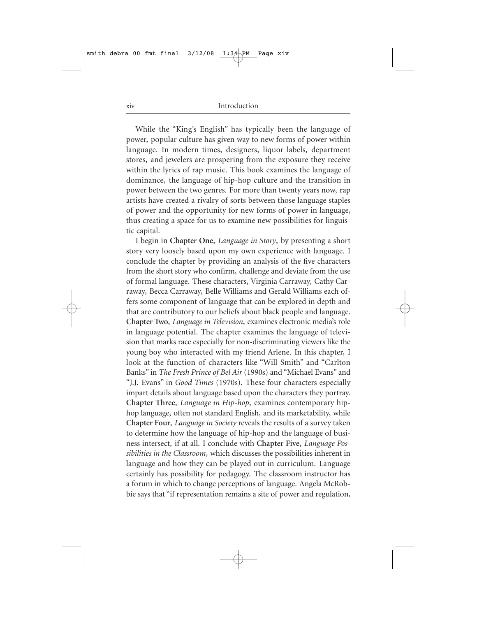While the "King's English" has typically been the language of power, popular culture has given way to new forms of power within language. In modern times, designers, liquor labels, department stores, and jewelers are prospering from the exposure they receive within the lyrics of rap music. This book examines the language of dominance, the language of hip-hop culture and the transition in power between the two genres. For more than twenty years now, rap artists have created a rivalry of sorts between those language staples of power and the opportunity for new forms of power in language, thus creating a space for us to examine new possibilities for linguistic capital.

I begin in **Chapter One**, *Language in Story*, by presenting a short story very loosely based upon my own experience with language. I conclude the chapter by providing an analysis of the five characters from the short story who confirm, challenge and deviate from the use of formal language. These characters, Virginia Carraway, Cathy Carraway, Becca Carraway, Belle Williams and Gerald Williams each offers some component of language that can be explored in depth and that are contributory to our beliefs about black people and language. **Chapter Two**, *Language in Television*, examines electronic media's role in language potential. The chapter examines the language of television that marks race especially for non-discriminating viewers like the young boy who interacted with my friend Arlene. In this chapter, I look at the function of characters like "Will Smith" and "Carlton Banks" in *The Fresh Prince of Bel Air* (1990s) and "Michael Evans" and "J.J. Evans" in *Good Times* (1970s). These four characters especially impart details about language based upon the characters they portray. **Chapter Three**, *Language in Hip-hop*, examines contemporary hiphop language, often not standard English, and its marketability, while **Chapter Four**, *Language in Society* reveals the results of a survey taken to determine how the language of hip-hop and the language of business intersect, if at all. I conclude with **Chapter Five**, *Language Possibilities in the Classroom*, which discusses the possibilities inherent in language and how they can be played out in curriculum. Language certainly has possibility for pedagogy. The classroom instructor has a forum in which to change perceptions of language. Angela McRobbie says that "if representation remains a site of power and regulation,